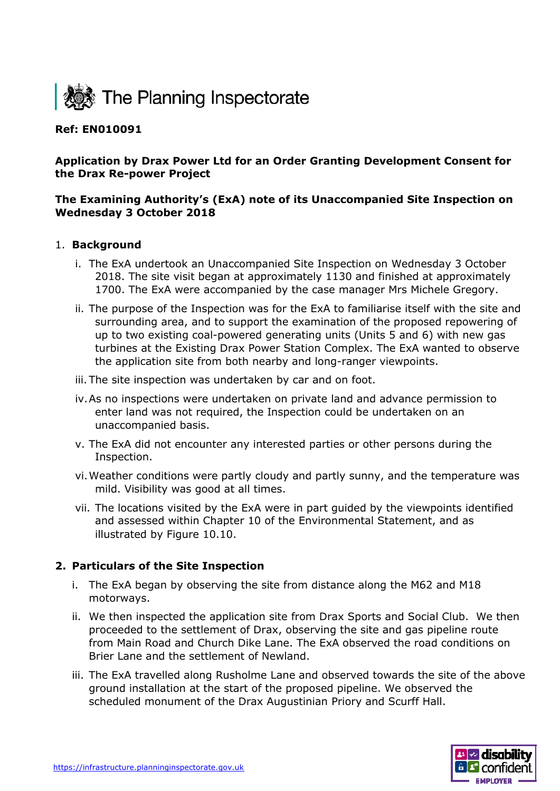

# **Ref: EN010091**

# **Application by Drax Power Ltd for an Order Granting Development Consent for the Drax Re-power Project**

# **The Examining Authority's (ExA) note of its Unaccompanied Site Inspection on Wednesday 3 October 2018**

#### 1. **Background**

- i. The ExA undertook an Unaccompanied Site Inspection on Wednesday 3 October 2018. The site visit began at approximately 1130 and finished at approximately 1700. The ExA were accompanied by the case manager Mrs Michele Gregory.
- ii. The purpose of the Inspection was for the ExA to familiarise itself with the site and surrounding area, and to support the examination of the proposed repowering of up to two existing coal-powered generating units (Units 5 and 6) with new gas turbines at the Existing Drax Power Station Complex. The ExA wanted to observe the application site from both nearby and long-ranger viewpoints.
- iii. The site inspection was undertaken by car and on foot.
- iv.As no inspections were undertaken on private land and advance permission to enter land was not required, the Inspection could be undertaken on an unaccompanied basis.
- v. The ExA did not encounter any interested parties or other persons during the Inspection.
- vi.Weather conditions were partly cloudy and partly sunny, and the temperature was mild. Visibility was good at all times.
- vii. The locations visited by the ExA were in part guided by the viewpoints identified and assessed within Chapter 10 of the Environmental Statement, and as illustrated by Figure 10.10.

# **2. Particulars of the Site Inspection**

- i. The ExA began by observing the site from distance along the M62 and M18 motorways.
- ii. We then inspected the application site from Drax Sports and Social Club. We then proceeded to the settlement of Drax, observing the site and gas pipeline route from Main Road and Church Dike Lane. The ExA observed the road conditions on Brier Lane and the settlement of Newland.
- iii. The ExA travelled along Rusholme Lane and observed towards the site of the above ground installation at the start of the proposed pipeline. We observed the scheduled monument of the Drax Augustinian Priory and Scurff Hall.